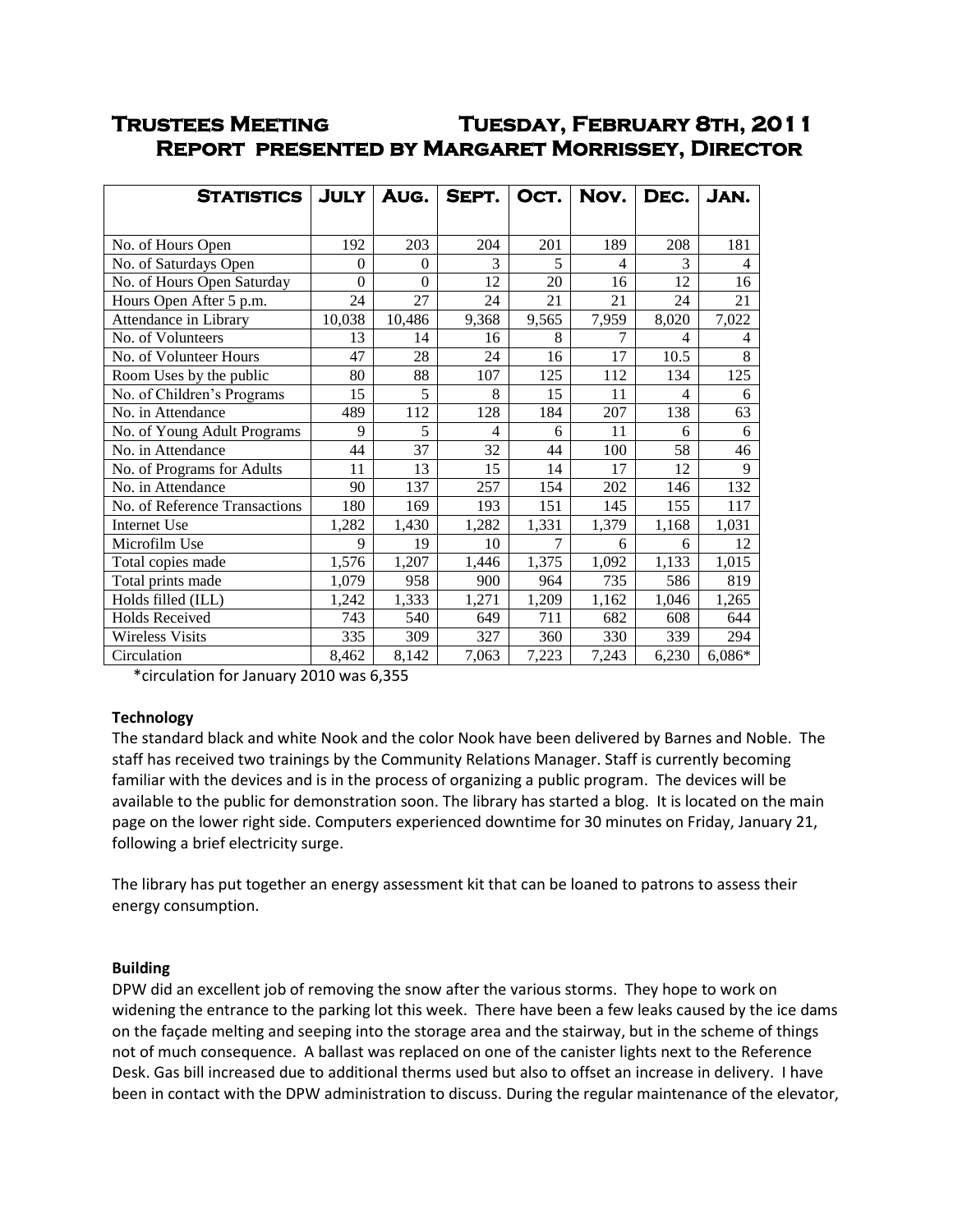# **Trustees Meeting Tuesday, February 8th, 2011 Report presented by Margaret Morrissey, Director**

| <b>STATISTICS</b>             | <b>JULY</b> | AUG.     | SEPT. | OCT.  | Nov.  | DEC.  | JAN.           |
|-------------------------------|-------------|----------|-------|-------|-------|-------|----------------|
|                               |             |          |       |       |       |       |                |
| No. of Hours Open             | 192         | 203      | 204   | 201   | 189   | 208   | 181            |
| No. of Saturdays Open         | 0           | $\Omega$ | 3     | 5     | 4     | 3     | 4              |
| No. of Hours Open Saturday    | 0           | $\theta$ | 12    | 20    | 16    | 12    | 16             |
| Hours Open After 5 p.m.       | 24          | 27       | 24    | 21    | 21    | 24    | 21             |
| Attendance in Library         | 10,038      | 10,486   | 9,368 | 9,565 | 7,959 | 8,020 | 7,022          |
| No. of Volunteers             | 13          | 14       | 16    | 8     | 7     | 4     | $\overline{4}$ |
| No. of Volunteer Hours        | 47          | 28       | 24    | 16    | 17    | 10.5  | 8              |
| Room Uses by the public       | 80          | 88       | 107   | 125   | 112   | 134   | 125            |
| No. of Children's Programs    | 15          | 5        | 8     | 15    | 11    | 4     | 6              |
| No. in Attendance             | 489         | 112      | 128   | 184   | 207   | 138   | 63             |
| No. of Young Adult Programs   | 9           | 5        | 4     | 6     | 11    | 6     | 6              |
| No. in Attendance             | 44          | 37       | 32    | 44    | 100   | 58    | 46             |
| No. of Programs for Adults    | 11          | 13       | 15    | 14    | 17    | 12    | 9              |
| No. in Attendance             | 90          | 137      | 257   | 154   | 202   | 146   | 132            |
| No. of Reference Transactions | 180         | 169      | 193   | 151   | 145   | 155   | 117            |
| Internet Use                  | 1,282       | 1,430    | 1,282 | 1,331 | 1,379 | 1,168 | 1,031          |
| Microfilm Use                 | 9           | 19       | 10    | 7     | 6     | 6     | 12             |
| Total copies made             | 1,576       | 1,207    | 1,446 | 1,375 | 1,092 | 1,133 | 1,015          |
| Total prints made             | 1,079       | 958      | 900   | 964   | 735   | 586   | 819            |
| Holds filled (ILL)            | 1,242       | 1,333    | 1,271 | 1,209 | 1,162 | 1,046 | 1,265          |
| <b>Holds Received</b>         | 743         | 540      | 649   | 711   | 682   | 608   | 644            |
| <b>Wireless Visits</b>        | 335         | 309      | 327   | 360   | 330   | 339   | 294            |
| Circulation                   | 8,462       | 8,142    | 7,063 | 7,223 | 7,243 | 6,230 | 6,086*         |

\*circulation for January 2010 was 6,355

# **Technology**

The standard black and white Nook and the color Nook have been delivered by Barnes and Noble. The staff has received two trainings by the Community Relations Manager. Staff is currently becoming familiar with the devices and is in the process of organizing a public program. The devices will be available to the public for demonstration soon. The library has started a blog. It is located on the main page on the lower right side. Computers experienced downtime for 30 minutes on Friday, January 21, following a brief electricity surge.

The library has put together an energy assessment kit that can be loaned to patrons to assess their energy consumption.

# **Building**

DPW did an excellent job of removing the snow after the various storms. They hope to work on widening the entrance to the parking lot this week. There have been a few leaks caused by the ice dams on the façade melting and seeping into the storage area and the stairway, but in the scheme of things not of much consequence. A ballast was replaced on one of the canister lights next to the Reference Desk. Gas bill increased due to additional therms used but also to offset an increase in delivery. I have been in contact with the DPW administration to discuss. During the regular maintenance of the elevator,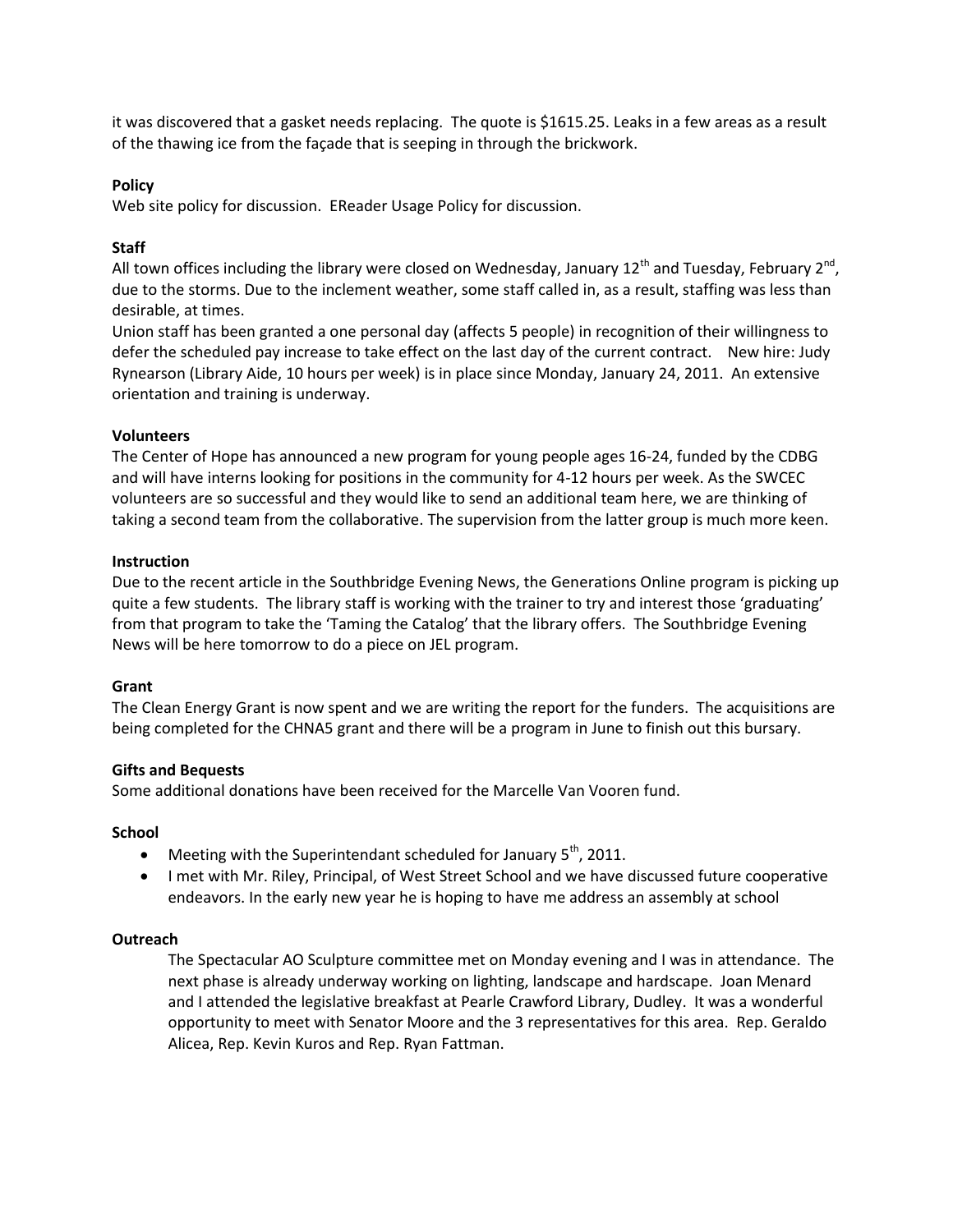it was discovered that a gasket needs replacing. The quote is \$1615.25. Leaks in a few areas as a result of the thawing ice from the façade that is seeping in through the brickwork.

# **Policy**

Web site policy for discussion. EReader Usage Policy for discussion.

## **Staff**

All town offices including the library were closed on Wednesday, January 12<sup>th</sup> and Tuesday, February 2<sup>nd</sup>, due to the storms. Due to the inclement weather, some staff called in, as a result, staffing was less than desirable, at times.

Union staff has been granted a one personal day (affects 5 people) in recognition of their willingness to defer the scheduled pay increase to take effect on the last day of the current contract. New hire: Judy Rynearson (Library Aide, 10 hours per week) is in place since Monday, January 24, 2011. An extensive orientation and training is underway.

## **Volunteers**

The Center of Hope has announced a new program for young people ages 16-24, funded by the CDBG and will have interns looking for positions in the community for 4-12 hours per week. As the SWCEC volunteers are so successful and they would like to send an additional team here, we are thinking of taking a second team from the collaborative. The supervision from the latter group is much more keen.

#### **Instruction**

Due to the recent article in the Southbridge Evening News, the Generations Online program is picking up quite a few students. The library staff is working with the trainer to try and interest those 'graduating' from that program to take the 'Taming the Catalog' that the library offers. The Southbridge Evening News will be here tomorrow to do a piece on JEL program.

#### **Grant**

The Clean Energy Grant is now spent and we are writing the report for the funders. The acquisitions are being completed for the CHNA5 grant and there will be a program in June to finish out this bursary.

#### **Gifts and Bequests**

Some additional donations have been received for the Marcelle Van Vooren fund.

#### **School**

- $\bullet$  Meeting with the Superintendant scheduled for January 5<sup>th</sup>, 2011.
- I met with Mr. Riley, Principal, of West Street School and we have discussed future cooperative endeavors. In the early new year he is hoping to have me address an assembly at school

#### **Outreach**

The Spectacular AO Sculpture committee met on Monday evening and I was in attendance. The next phase is already underway working on lighting, landscape and hardscape. Joan Menard and I attended the legislative breakfast at Pearle Crawford Library, Dudley. It was a wonderful opportunity to meet with Senator Moore and the 3 representatives for this area. Rep. Geraldo Alicea, Rep. Kevin Kuros and Rep. Ryan Fattman.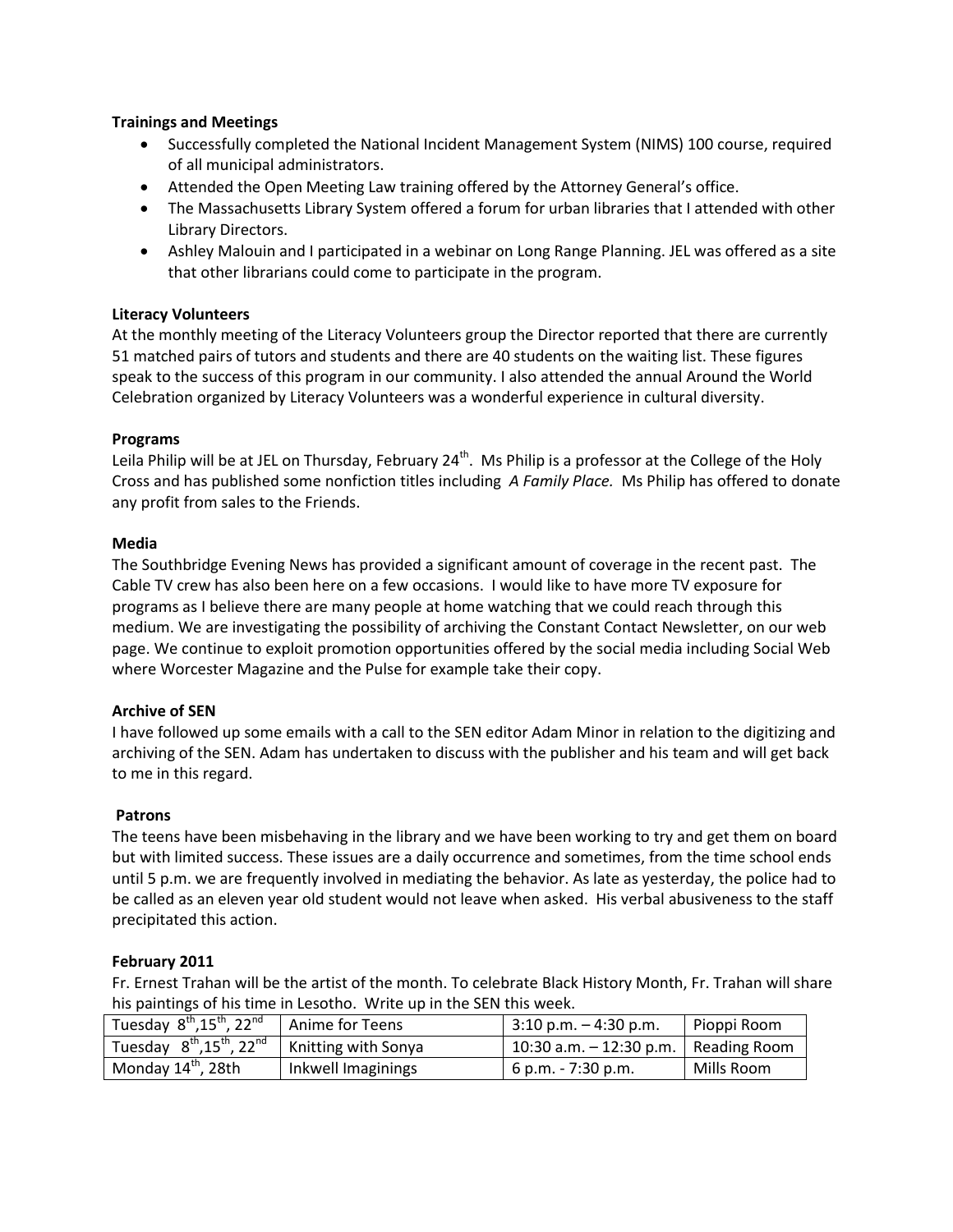# **Trainings and Meetings**

- Successfully completed the National Incident Management System (NIMS) 100 course, required of all municipal administrators.
- Attended the Open Meeting Law training offered by the Attorney General's office.
- The Massachusetts Library System offered a forum for urban libraries that I attended with other Library Directors.
- Ashley Malouin and I participated in a webinar on Long Range Planning. JEL was offered as a site that other librarians could come to participate in the program.

## **Literacy Volunteers**

At the monthly meeting of the Literacy Volunteers group the Director reported that there are currently 51 matched pairs of tutors and students and there are 40 students on the waiting list. These figures speak to the success of this program in our community. I also attended the annual Around the World Celebration organized by Literacy Volunteers was a wonderful experience in cultural diversity.

## **Programs**

Leila Philip will be at JEL on Thursday, February  $24^{th}$ . Ms Philip is a professor at the College of the Holy Cross and has published some nonfiction titles including *A Family Place.* Ms Philip has offered to donate any profit from sales to the Friends.

## **Media**

The Southbridge Evening News has provided a significant amount of coverage in the recent past. The Cable TV crew has also been here on a few occasions. I would like to have more TV exposure for programs as I believe there are many people at home watching that we could reach through this medium. We are investigating the possibility of archiving the Constant Contact Newsletter, on our web page. We continue to exploit promotion opportunities offered by the social media including Social Web where Worcester Magazine and the Pulse for example take their copy.

# **Archive of SEN**

I have followed up some emails with a call to the SEN editor Adam Minor in relation to the digitizing and archiving of the SEN. Adam has undertaken to discuss with the publisher and his team and will get back to me in this regard.

# **Patrons**

The teens have been misbehaving in the library and we have been working to try and get them on board but with limited success. These issues are a daily occurrence and sometimes, from the time school ends until 5 p.m. we are frequently involved in mediating the behavior. As late as yesterday, the police had to be called as an eleven year old student would not leave when asked. His verbal abusiveness to the staff precipitated this action.

# **February 2011**

Fr. Ernest Trahan will be the artist of the month. To celebrate Black History Month, Fr. Trahan will share his paintings of his time in Lesotho. Write up in the SEN this week.

| Tuesday $8^{th}$ , 15 <sup>th</sup> , 22 <sup>nd</sup> Anime for Teens       |                    | $-3:10$ p.m. $-4:30$ p.m.  | Pioppi Room  |
|------------------------------------------------------------------------------|--------------------|----------------------------|--------------|
| Tuesday $8^{th}$ , 15 <sup>th</sup> , 22 <sup>nd</sup>   Knitting with Sonya |                    | $10:30$ a.m. $-12:30$ p.m. | Reading Room |
| Monday 14 <sup>th</sup> , 28th                                               | Inkwell Imaginings | $-6$ p.m. - 7:30 p.m.      | Mills Room   |